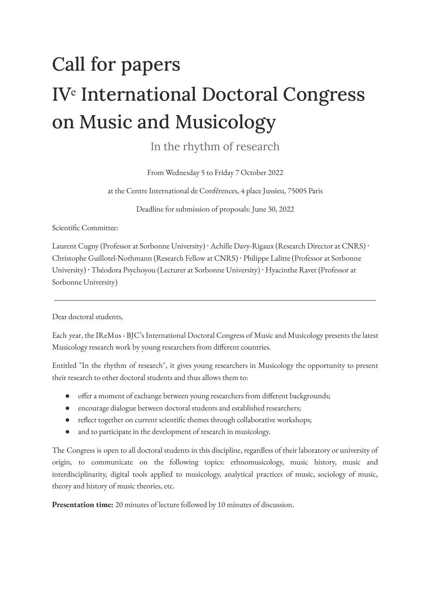## Call for papers IV<sup>e</sup> International Doctoral Congress on Music and Musicology

In the rhythm of research

From Wednesday 5 to Friday 7 October 2022

at the Centre International de Conférences, 4 place Jussieu, 75005 Paris

Deadline for submission of proposals: June 30, 2022

Scientific Committee:

Laurent Cugny (Professor at Sorbonne University) · Achille Davy-Rigaux (Research Director at CNRS) · Christophe Guillotel-Nothmann (Research Fellow at CNRS) ⸱ Philippe Lalitte (Professor at Sorbonne University) · Théodora Psychoyou (Lecturer at Sorbonne University) · Hyacinthe Ravet (Professor at Sorbonne University)

Dear doctoral students,

Each year, the IReMus - BJC's International Doctoral Congress of Music and Musicology presents the latest Musicology research work by young researchers from different countries.

Entitled "In the rhythm of research", it gives young researchers in Musicology the opportunity to present their research to other doctoral students and thus allows them to:

- offer a moment of exchange between young researchers from different backgrounds;
- encourage dialogue between doctoral students and established researchers;
- reflect together on current scientific themes through collaborative workshops;
- and to participate in the development of research in musicology.

The Congress is open to all doctoral students in this discipline, regardless of their laboratory or university of origin, to communicate on the following topics: ethnomusicology, music history, music and interdisciplinarity, digital tools applied to musicology, analytical practices of music, sociology of music, theory and history of music theories, etc.

**Presentation time:** 20 minutes of lecture followed by 10 minutes of discussion.